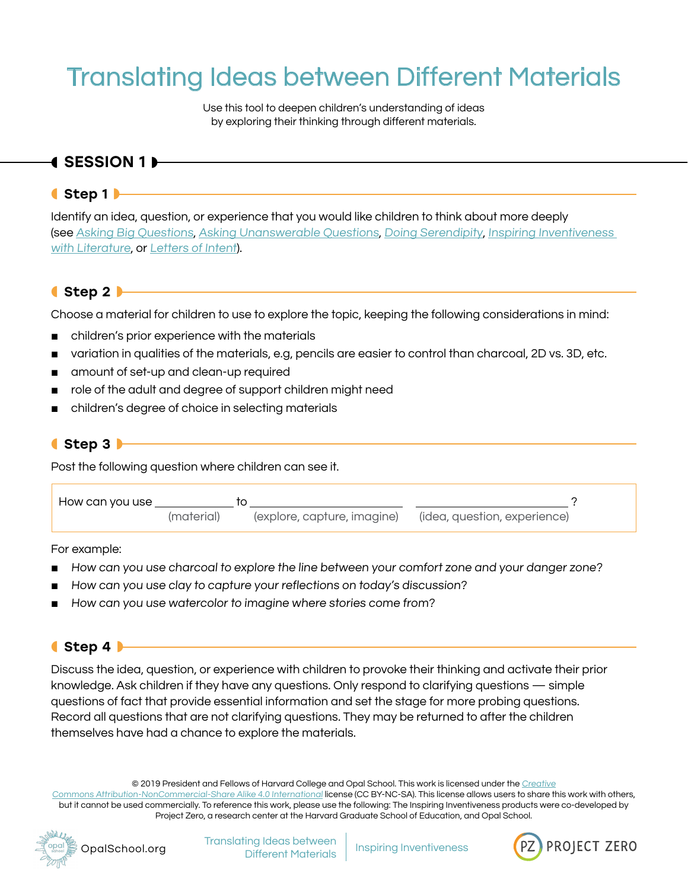# Translating Ideas between Different Materials

Use this tool to deepen children's understanding of ideas by exploring their thinking through different materials.

## ◖SESSION 1◗

#### ◖Step 1◗

Identify an idea, question, or experience that you would like children to think about more deeply (see [Asking Big Questions](https://opalschool.org/wp-content/uploads/2016/10/Asking-Big-Questions.pdf), [Asking Unanswerable Questions](https://opalschool.org/wp-content/uploads/2016/10/Asking-Unanswerable-Questions.pdf), [Doing Serendipity](https://opalschool.org/wp-content/uploads/2016/10/Doing-Serendipity.pdf), [Inspiring Inventiveness](https://opalschool.org/wp-content/uploads/2016/10/Inspiring-Inventiveness-with-Literature.pdf)  [with Literature](https://opalschool.org/wp-content/uploads/2016/10/Inspiring-Inventiveness-with-Literature.pdf), or [Letters of Intent](https://opalschool.org/wp-content/uploads/2016/10/Letters-of-Intent.pdf)).

#### ◖Step 2◗

Choose a material for children to use to explore the topic, keeping the following considerations in mind:

- children's prior experience with the materials
- variation in qualities of the materials, e.g, pencils are easier to control than charcoal, 2D vs. 3D, etc.
- amount of set-up and clean-up required
- role of the adult and degree of support children might need
- children's degree of choice in selecting materials

#### ◖Step 3◗

Post the following question where children can see it.

| How can you use |            |                             |                              |
|-----------------|------------|-----------------------------|------------------------------|
|                 | (material) | (explore, capture, imagine) | (idea, question, experience) |

For example:

- How can you use charcoal to explore the line between your comfort zone and your danger zone?
- How can you use clay to capture your reflections on today's discussion?
- How can you use watercolor to imagine where stories come from?

#### ◖Step 4◗

Discuss the idea, question, or experience with children to provoke their thinking and activate their prior knowledge. Ask children if they have any questions. Only respond to clarifying questions — simple questions of fact that provide essential information and set the stage for more probing questions. Record all questions that are not clarifying questions. They may be returned to after the children themselves have had a chance to explore the materials.

© 2019 President and Fellows of Harvard College and Opal School. This work is licensed under the [Creative](https://creativecommons.org/licenses/by-nc-sa/4.0/) [Commons Attribution-NonCommercial-Share Alike 4.0 International](https://creativecommons.org/licenses/by-nc-sa/4.0/) license (CC BY-NC-SA). This license allows users to share this work with others, but it cannot be used commercially. To reference this work, please use the following: The Inspiring Inventiveness products were co-developed by Project Zero, a research center at the Harvard Graduate School of Education, and Opal School.



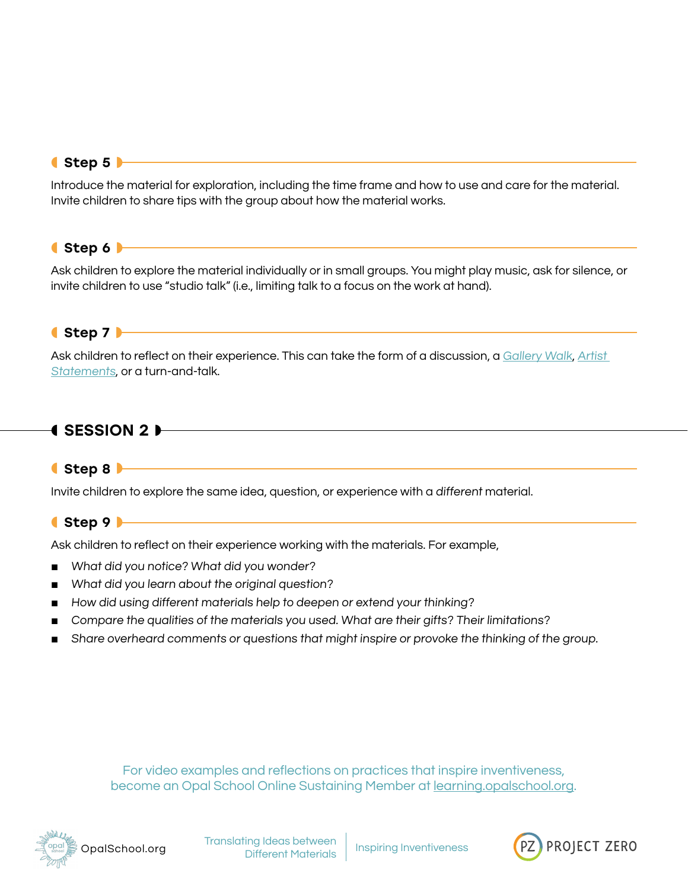## <span id="page-1-0"></span>● Step 5

Introduce the material for exploration, including the time frame and how to use and care for the material. Invite children to share tips with the group about how the material works.

## ◖Step 6◗

Ask children to explore the material individually or in small groups. You might play music, ask for silence, or invite children to use "studio talk" (i.e., limiting talk to a focus on the work at hand).

## ◖Step 7◗

Ask children to reflect on their experience. This can take the form of a discussion, a [Gallery Walk](https://opalschool.org/wp-content/uploads/2016/10/Gallery-Walk.pdf ), Artist [Statements](https://opalschool.org/wp-content/uploads/2016/10/Artist-statements.pdf ), or a turn-and-talk.

# $\bullet$  SESSION 2  $\rightarrow$

#### ◖Step 8◗

Invite children to explore the same idea, question, or experience with a different material.

#### ◖Step 9◗

Ask children to reflect on their experience working with the materials. For example,

- What did you notice? What did you wonder?
- What did you learn about the original question?
- How did using different materials help to deepen or extend your thinking?
- Compare the qualities of the materials you used. What are their gifts? Their limitations?
- Share overheard comments or questions that might inspire or provoke the thinking of the group.

For video examples and reflections on practices that inspire inventiveness, become an Opal School Online Sustaining Member at [learning.opalschool.org.](http://learning.opalschool.org)